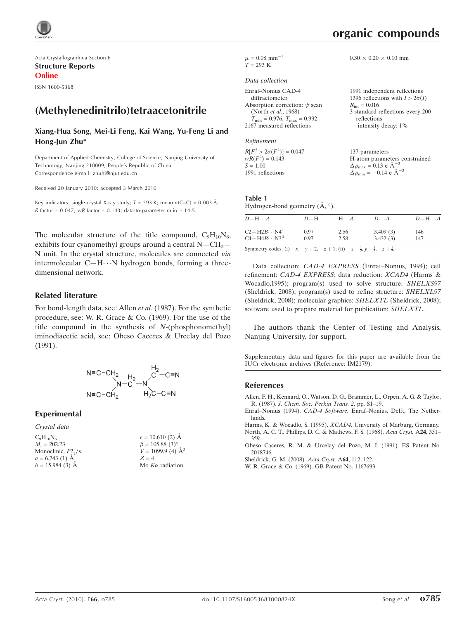

Acta Crystallographica Section E Structure Reports Online ISSN 1600-5368

# (Methylenedinitrilo)tetraacetonitrile

## Xiang-Hua Song, Mei-Li Feng, Kai Wang, Yu-Feng Li and Hong-Jun Zhu\*

Department of Applied Chemistry, College of Science, Nanjing University of Technology, Nanjing 210009, People's Republic of China Correspondence e-mail: zhuhj@njut.edu.cn

Received 20 January 2010; accepted 3 March 2010

Key indicators: single-crystal X-ray study;  $T = 293$  K; mean  $\sigma$ (C–C) = 0.003 Å; R factor =  $0.047$ ; wR factor =  $0.143$ ; data-to-parameter ratio = 14.5.

The molecular structure of the title compound,  $C_9H_{10}N_6$ , exhibits four cyanomethyl groups around a central  $N - CH_2$ — N unit. In the crystal structure, molecules are connected via intermolecular C-H $\cdots$ N hydrogen bonds, forming a threedimensional network.

#### Related literature

For bond-length data, see: Allen et al. (1987). For the synthetic procedure, see: W. R. Grace & Co. (1969). For the use of the title compound in the synthesis of N-(phosphonomethyl) iminodiacetic acid, see: Obeso Caceres & Urcelay del Pozo (1991).



#### Experimental

Crystal data

| $c = 10.610(2)$ Å        |
|--------------------------|
| $\beta = 105.88(3)$ °    |
| $V = 1099.9$ (4) $\AA^3$ |
| $Z = 4$                  |
| Mo $K\alpha$ radiation   |
|                          |

 $0.30 \times 0.20 \times 0.10$  mm

137 parameters

 $\Delta \rho_{\text{max}} = 0.13 \text{ e A}^{-3}$  $\Delta \rho_{\rm min} = -0.14 \text{ e } \text{\AA}^{-3}$ 

H-atom parameters constrained

 $\mu = 0.08$  mm<sup>-1</sup>  $T = 293 \text{ K}$ 

#### Data collection

| Enraf-Nonius CAD-4                                  | 1991 independent reflections           |
|-----------------------------------------------------|----------------------------------------|
| diffractometer                                      | 1396 reflections with $I > 2\sigma(I)$ |
| Absorption correction: $\psi$ scan                  | $R_{\text{int}} = 0.016$               |
| (North et al., 1968)                                | 3 standard reflections every 200       |
| $T_{\text{min}} = 0.976$ , $T_{\text{max}} = 0.992$ | reflections                            |
| 2167 measured reflections                           | intensity decay: 1%                    |
|                                                     |                                        |

#### Refinement

 $R[F^2 > 2\sigma(F^2)] = 0.047$  $wR(F^2) = 0.143$  $S = 1.00$ 1991 reflections

#### Table 1 Hydrogen-bond geometry  $(\mathring{A}, \degree)$ .

| $D - H \cdots A$          | $D=H$ | $H \cdots A$ | $D\cdots A$ | $D - H \cdots A$ |
|---------------------------|-------|--------------|-------------|------------------|
| $C2 - H2B \cdots N4^i$    | 0.97  | 2.56         | 3.409(3)    | 146              |
| $C4 - H4B \cdots N3^{ii}$ | 0.97  | 2.58         | 3.432(3)    | 147              |

Symmetry codes: (i)  $-x, -y + 2, -z + 1$ ; (ii)  $-x - \frac{1}{2}, y - \frac{1}{2}, -z + \frac{1}{2}$ .

Data collection: CAD-4 EXPRESS (Enraf–Nonius, 1994); cell refinement: CAD-4 EXPRESS; data reduction: XCAD4 (Harms & Wocadlo,1995); program(s) used to solve structure: SHELXS97 (Sheldrick, 2008); program(s) used to refine structure: SHELXL97 (Sheldrick, 2008); molecular graphics: SHELXTL (Sheldrick, 2008); software used to prepare material for publication: SHELXTL.

The authors thank the Center of Testing and Analysis, Nanjing University, for support.

Supplementary data and figures for this paper are available from the IUCr electronic archives (Reference: IM2179).

#### References

- [Allen, F. H., Kennard, O., Watson, D. G., Brammer, L., Orpen, A. G. & Taylor,](https://scripts.iucr.org/cgi-bin/cr.cgi?rm=pdfbb&cnor=im2179&bbid=BB1) R. (1987). [J. Chem. Soc. Perkin Trans. 2](https://scripts.iucr.org/cgi-bin/cr.cgi?rm=pdfbb&cnor=im2179&bbid=BB1), pp. S1–19.
- Enraf–Nonius (1994). CAD-4 Software[. Enraf–Nonius, Delft, The Nether](https://scripts.iucr.org/cgi-bin/cr.cgi?rm=pdfbb&cnor=im2179&bbid=BB3)[lands.](https://scripts.iucr.org/cgi-bin/cr.cgi?rm=pdfbb&cnor=im2179&bbid=BB3)
- Harms, K. & Wocadlo, S. (1995). XCAD4[. University of Marburg, Germany.](https://scripts.iucr.org/cgi-bin/cr.cgi?rm=pdfbb&cnor=im2179&bbid=BB4) [North, A. C. T., Phillips, D. C. & Mathews, F. S. \(1968\).](https://scripts.iucr.org/cgi-bin/cr.cgi?rm=pdfbb&cnor=im2179&bbid=BB5) Acta Cryst. A24, 351– [359.](https://scripts.iucr.org/cgi-bin/cr.cgi?rm=pdfbb&cnor=im2179&bbid=BB5)
- [Obeso Caceres, R. M. & Urcelay del Pozo, M. I. \(1991\). ES Patent No.](https://scripts.iucr.org/cgi-bin/cr.cgi?rm=pdfbb&cnor=im2179&bbid=BB6) [2018746.](https://scripts.iucr.org/cgi-bin/cr.cgi?rm=pdfbb&cnor=im2179&bbid=BB6)
- [Sheldrick, G. M. \(2008\).](https://scripts.iucr.org/cgi-bin/cr.cgi?rm=pdfbb&cnor=im2179&bbid=BB7) Acta Cryst. A64, 112–122.
- [W. R. Grace & Co. \(1969\). GB Patent No. 1167693.](https://scripts.iucr.org/cgi-bin/cr.cgi?rm=pdfbb&cnor=im2179&bbid=BB8)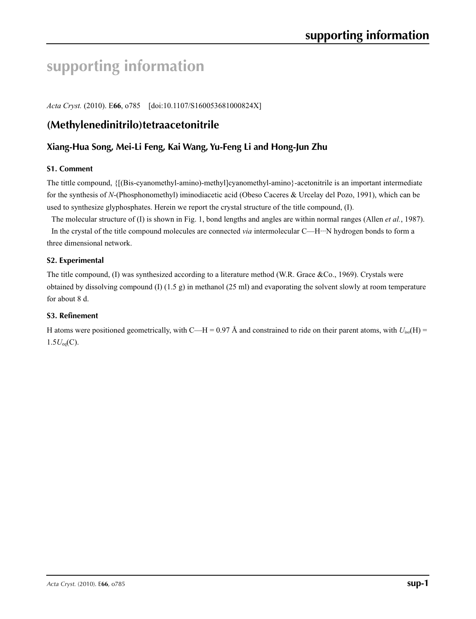# **supporting information**

*Acta Cryst.* (2010). E**66**, o785 [doi:10.1107/S160053681000824X]

# **(Methylenedinitrilo)tetraacetonitrile**

# **Xiang-Hua Song, Mei-Li Feng, Kai Wang, Yu-Feng Li and Hong-Jun Zhu**

# **S1. Comment**

The tittle compound, {[(Bis-cyanomethyl-amino)-methyl]cyanomethyl-amino}-acetonitrile is an important intermediate for the synthesis of *N*-(Phosphonomethyl) iminodiacetic acid (Obeso Caceres & Urcelay del Pozo, 1991), which can be used to synthesize glyphosphates. Herein we report the crystal structure of the title compound, (I).

The molecular structure of (I) is shown in Fig. 1, bond lengths and angles are within normal ranges (Allen *et al.*, 1987).

In the crystal of the title compound molecules are connected *via* intermolecular C—H···N hydrogen bonds to form a three dimensional network.

## **S2. Experimental**

The title compound, (I) was synthesized according to a literature method (W.R. Grace &Co., 1969). Crystals were obtained by dissolving compound (I) (1.5 g) in methanol (25 ml) and evaporating the solvent slowly at room temperature for about 8 d.

# **S3. Refinement**

H atoms were positioned geometrically, with C—H = 0.97 Å and constrained to ride on their parent atoms, with  $U_{iso}(H)$  =  $1.5U_{eq}(C)$ .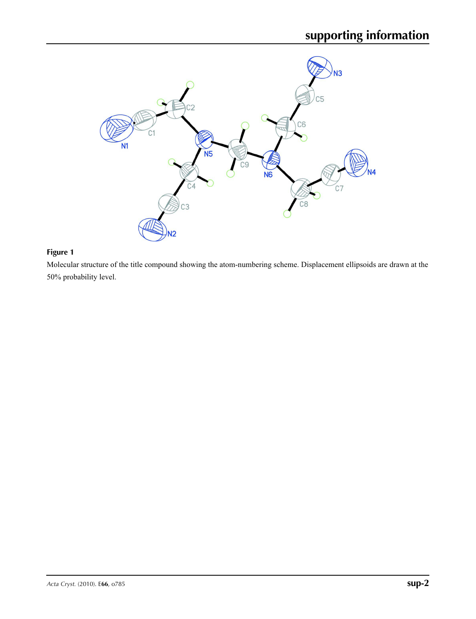

# **Figure 1**

Molecular structure of the title compound showing the atom-numbering scheme. Displacement ellipsoids are drawn at the 50% probability level.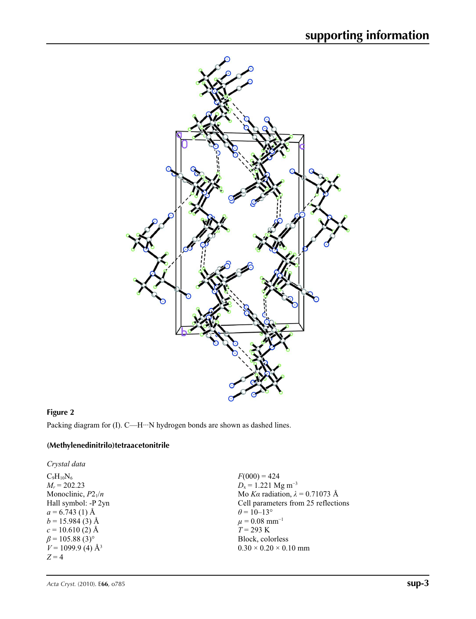

# **Figure 2**

Packing diagram for (I). C—H···N hydrogen bonds are shown as dashed lines.

# **(Methylenedinitrilo)tetraacetonitrile**

*Crystal data*  $C_9H_{10}N_6$  $M_r = 202.23$ Monoclinic,  $P2_1/n$ Hall symbol: -P 2yn  $a = 6.743$  (1) Å  $b = 15.984(3)$  Å  $c = 10.610(2)$  Å  $\beta$  = 105.88 (3)<sup>o</sup>  $V = 1099.9$  (4)  $\AA$ <sup>3</sup> *Z* = 4

 $F(000) = 424$ *D*<sub>x</sub> = 1.221 Mg m<sup>-3</sup> Mo *Kα* radiation, *λ* = 0.71073 Å Cell parameters from 25 reflections  $\theta$  = 10–13°  $\mu = 0.08$  mm<sup>-1</sup>  $T = 293 \text{ K}$ Block, colorless  $0.30 \times 0.20 \times 0.10$  mm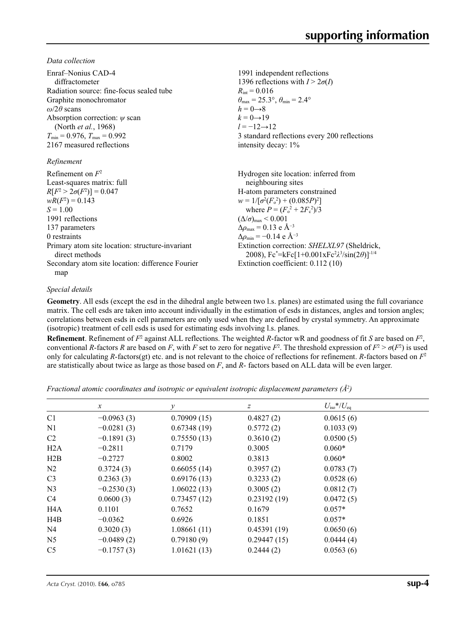*Data collection*

| Enraf-Nonius CAD-4                       | 1991 independent reflections                                            |
|------------------------------------------|-------------------------------------------------------------------------|
| diffractometer                           | 1396 reflections with $I > 2\sigma(I)$                                  |
| Radiation source: fine-focus sealed tube | $R_{\text{int}} = 0.016$                                                |
| Graphite monochromator                   | $\theta_{\text{max}} = 25.3^{\circ}, \theta_{\text{min}} = 2.4^{\circ}$ |
| $\omega/2\theta$ scans                   | $h = 0 \rightarrow 8$                                                   |
| Absorption correction: $\psi$ scan       | $k = 0 \rightarrow 19$                                                  |
| (North <i>et al.</i> , 1968)             | $l = -12 \rightarrow 12$                                                |
| $T_{\min}$ = 0.976, $T_{\max}$ = 0.992   | 3 standard reflections every 200 reflections                            |
| 2167 measured reflections                | intensity decay: 1%                                                     |
| Refinement                               |                                                                         |

| Hydrogen site location: inferred from                                                                         |
|---------------------------------------------------------------------------------------------------------------|
| neighbouring sites                                                                                            |
| H-atom parameters constrained                                                                                 |
| $w = 1/[\sigma^2(F_0^2) + (0.085P)^2]$                                                                        |
| where $P = (F_o^2 + 2F_c^2)/3$                                                                                |
| $(\Delta/\sigma)_{\text{max}}$ < 0.001                                                                        |
| $\Delta\rho_{\rm max} = 0.13$ e Å <sup>-3</sup>                                                               |
| $\Delta \rho_{\rm min} = -0.14 \text{ e } \text{\AA}^{-3}$                                                    |
| Extinction correction: SHELXL97 (Sheldrick,<br>2008), $Fc^* = kFc[1+0.001xFc^2\lambda^3/sin(2\theta)]^{-1/4}$ |
| Extinction coefficient: 0.112 (10)                                                                            |
|                                                                                                               |
|                                                                                                               |

## *Special details*

**Geometry**. All esds (except the esd in the dihedral angle between two l.s. planes) are estimated using the full covariance matrix. The cell esds are taken into account individually in the estimation of esds in distances, angles and torsion angles; correlations between esds in cell parameters are only used when they are defined by crystal symmetry. An approximate (isotropic) treatment of cell esds is used for estimating esds involving l.s. planes.

**Refinement**. Refinement of  $F^2$  against ALL reflections. The weighted R-factor wR and goodness of fit *S* are based on  $F^2$ , conventional *R*-factors *R* are based on *F*, with *F* set to zero for negative  $F^2$ . The threshold expression of  $F^2 > \sigma(F^2)$  is used only for calculating *R*-factors(gt) etc. and is not relevant to the choice of reflections for refinement. *R*-factors based on  $F<sup>2</sup>$ are statistically about twice as large as those based on *F*, and *R*- factors based on ALL data will be even larger.

*Fractional atomic coordinates and isotropic or equivalent isotropic displacement parameters (Å<sup>2</sup>)* 

|                | $\boldsymbol{x}$ | $\mathcal{Y}$ | Ζ           | $U_{\rm iso}*/U_{\rm eq}$ |  |
|----------------|------------------|---------------|-------------|---------------------------|--|
| C <sub>1</sub> | $-0.0963(3)$     | 0.70909(15)   | 0.4827(2)   | 0.0615(6)                 |  |
| N <sub>1</sub> | $-0.0281(3)$     | 0.67348(19)   | 0.5772(2)   | 0.1033(9)                 |  |
| C2             | $-0.1891(3)$     | 0.75550(13)   | 0.3610(2)   | 0.0500(5)                 |  |
| H2A            | $-0.2811$        | 0.7179        | 0.3005      | $0.060*$                  |  |
| H2B            | $-0.2727$        | 0.8002        | 0.3813      | $0.060*$                  |  |
| N <sub>2</sub> | 0.3724(3)        | 0.66055(14)   | 0.3957(2)   | 0.0783(7)                 |  |
| C <sub>3</sub> | 0.2363(3)        | 0.69176(13)   | 0.3233(2)   | 0.0528(6)                 |  |
| N <sub>3</sub> | $-0.2530(3)$     | 1.06022(13)   | 0.3005(2)   | 0.0812(7)                 |  |
| C4             | 0.0600(3)        | 0.73457(12)   | 0.23192(19) | 0.0472(5)                 |  |
| H4A            | 0.1101           | 0.7652        | 0.1679      | $0.057*$                  |  |
| H4B            | $-0.0362$        | 0.6926        | 0.1851      | $0.057*$                  |  |
| N4             | 0.3020(3)        | 1.08661(11)   | 0.45391(19) | 0.0650(6)                 |  |
| N <sub>5</sub> | $-0.0489(2)$     | 0.79180(9)    | 0.29447(15) | 0.0444(4)                 |  |
| C <sub>5</sub> | $-0.1757(3)$     | 1.01621(13)   | 0.2444(2)   | 0.0563(6)                 |  |
|                |                  |               |             |                           |  |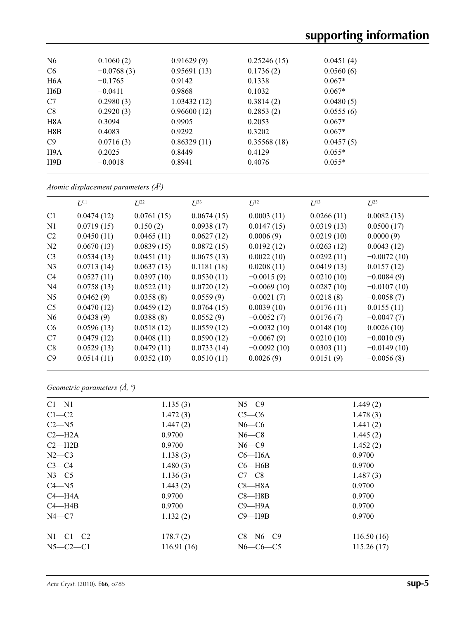| N <sub>6</sub>   | 0.1060(2)    | 0.91629(9)  | 0.25246(15) | 0.0451(4) |  |
|------------------|--------------|-------------|-------------|-----------|--|
| C <sub>6</sub>   | $-0.0768(3)$ | 0.95691(13) | 0.1736(2)   | 0.0560(6) |  |
| H <sub>6</sub> A | $-0.1765$    | 0.9142      | 0.1338      | $0.067*$  |  |
| H6B              | $-0.0411$    | 0.9868      | 0.1032      | $0.067*$  |  |
| C7               | 0.2980(3)    | 1.03432(12) | 0.3814(2)   | 0.0480(5) |  |
| C8               | 0.2920(3)    | 0.96600(12) | 0.2853(2)   | 0.0555(6) |  |
| H <sub>8</sub> A | 0.3094       | 0.9905      | 0.2053      | $0.067*$  |  |
| H8B              | 0.4083       | 0.9292      | 0.3202      | $0.067*$  |  |
| C9               | 0.0716(3)    | 0.86329(11) | 0.35568(18) | 0.0457(5) |  |
| H9A              | 0.2025       | 0.8449      | 0.4129      | $0.055*$  |  |
| H9B              | $-0.0018$    | 0.8941      | 0.4076      | $0.055*$  |  |
|                  |              |             |             |           |  |

*Atomic displacement parameters (Å2 )*

|                | $U^{11}$   | $\mathcal{I}^{22}$ | $\mathcal{L}^{\beta 3}$ | $U^{12}$      | $U^{13}$   | $L^{23}$      |
|----------------|------------|--------------------|-------------------------|---------------|------------|---------------|
| C1             | 0.0474(12) | 0.0761(15)         | 0.0674(15)              | 0.0003(11)    | 0.0266(11) | 0.0082(13)    |
| N1             | 0.0719(15) | 0.150(2)           | 0.0938(17)              | 0.0147(15)    | 0.0319(13) | 0.0500(17)    |
| C <sub>2</sub> | 0.0450(11) | 0.0465(11)         | 0.0627(12)              | 0.0006(9)     | 0.0219(10) | 0.0000(9)     |
| N2             | 0.0670(13) | 0.0839(15)         | 0.0872(15)              | 0.0192(12)    | 0.0263(12) | 0.0043(12)    |
| C <sub>3</sub> | 0.0534(13) | 0.0451(11)         | 0.0675(13)              | 0.0022(10)    | 0.0292(11) | $-0.0072(10)$ |
| N <sub>3</sub> | 0.0713(14) | 0.0637(13)         | 0.1181(18)              | 0.0208(11)    | 0.0419(13) | 0.0157(12)    |
| C4             | 0.0527(11) | 0.0397(10)         | 0.0530(11)              | $-0.0015(9)$  | 0.0210(10) | $-0.0084(9)$  |
| N <sub>4</sub> | 0.0758(13) | 0.0522(11)         | 0.0720(12)              | $-0.0069(10)$ | 0.0287(10) | $-0.0107(10)$ |
| N <sub>5</sub> | 0.0462(9)  | 0.0358(8)          | 0.0559(9)               | $-0.0021(7)$  | 0.0218(8)  | $-0.0058(7)$  |
| C <sub>5</sub> | 0.0470(12) | 0.0459(12)         | 0.0764(15)              | 0.0039(10)    | 0.0176(11) | 0.0155(11)    |
| N <sub>6</sub> | 0.0438(9)  | 0.0388(8)          | 0.0552(9)               | $-0.0052(7)$  | 0.0176(7)  | $-0.0047(7)$  |
| C <sub>6</sub> | 0.0596(13) | 0.0518(12)         | 0.0559(12)              | $-0.0032(10)$ | 0.0148(10) | 0.0026(10)    |
| C7             | 0.0479(12) | 0.0408(11)         | 0.0590(12)              | $-0.0067(9)$  | 0.0210(10) | $-0.0010(9)$  |
| C8             | 0.0529(13) | 0.0479(11)         | 0.0733(14)              | $-0.0092(10)$ | 0.0303(11) | $-0.0149(10)$ |
| C9             | 0.0514(11) | 0.0352(10)         | 0.0510(11)              | 0.0026(9)     | 0.0151(9)  | $-0.0056(8)$  |

# *Geometric parameters (Å, º)*

| $Cl - N1$  | 1.135(3)   | $N5 - C9$      | 1.449(2)   |
|------------|------------|----------------|------------|
| $C1-C2$    | 1.472(3)   | $C5-C6$        | 1.478(3)   |
| $C2 - N5$  | 1.447(2)   | $N6-C6$        | 1.441(2)   |
| $C2-H2A$   | 0.9700     | $N6-C8$        | 1.445(2)   |
| $C2 - H2B$ | 0.9700     | $N6-C9$        | 1.452(2)   |
| $N2-C3$    | 1.138(3)   | $C6 - H6A$     | 0.9700     |
| $C3-C4$    | 1.480(3)   | $C6 - H6B$     | 0.9700     |
| $N3-C5$    | 1.136(3)   | $C7-C8$        | 1.487(3)   |
| $C4 - N5$  | 1.443(2)   | $C8 - H8A$     | 0.9700     |
| $C4 - H4A$ | 0.9700     | $C8 - H8B$     | 0.9700     |
| $C4 - H4B$ | 0.9700     | $C9 - H9A$     | 0.9700     |
| $N4$ —C7   | 1.132(2)   | $C9 - H9B$     | 0.9700     |
| $N1-C1-C2$ | 178.7(2)   | $C8 - N6 - C9$ | 116.50(16) |
| $N5-C2-C1$ | 116.91(16) | $N6-C6-C5$     | 115.26(17) |
|            |            |                |            |